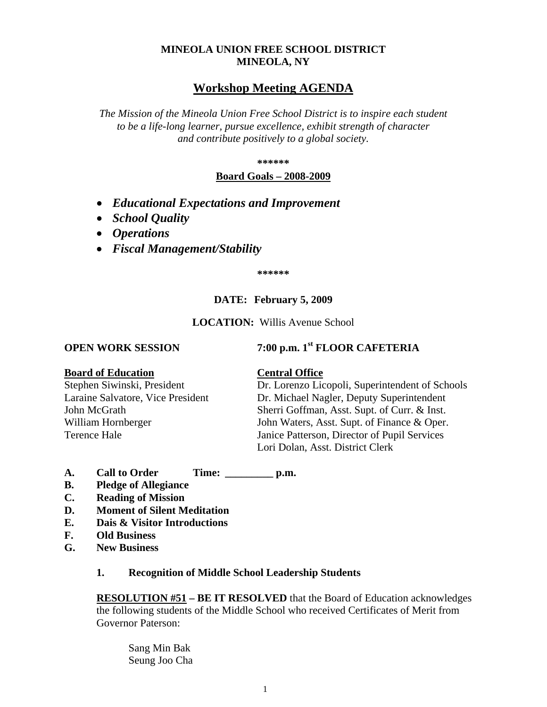#### **MINEOLA UNION FREE SCHOOL DISTRICT MINEOLA, NY**

## **Workshop Meeting AGENDA**

*The Mission of the Mineola Union Free School District is to inspire each student to be a life-long learner, pursue excellence, exhibit strength of character and contribute positively to a global society.*

**\*\*\*\*\*\***

#### **Board Goals – 2008-2009**

- *Educational Expectations and Improvement*
- *School Quality*
- *Operations*
- *Fiscal Management/Stability*

**\*\*\*\*\*\***

### **DATE: February 5, 2009**

#### **LOCATION:** Willis Avenue School

# **OPEN WORK SESSION 7:00 p.m. 1st FLOOR CAFETERIA**

#### **Board of Education Central Office**

Stephen Siwinski, President Dr. Lorenzo Licopoli, Superintendent of Schools Laraine Salvatore, Vice President Dr. Michael Nagler, Deputy Superintendent John McGrath Sherri Goffman, Asst. Supt. of Curr. & Inst. William Hornberger John Waters, Asst. Supt. of Finance & Oper. Terence Hale Janice Patterson, Director of Pupil Services Lori Dolan, Asst. District Clerk

- **A. Call to Order Time: \_\_\_\_\_\_\_\_\_ p.m.**
- **B. Pledge of Allegiance**
- **C. Reading of Mission**
- **D. Moment of Silent Meditation**
- **E. Dais & Visitor Introductions**
- **F. Old Business**
- **G. New Business**

#### **1. Recognition of Middle School Leadership Students**

**RESOLUTION #51 – BE IT RESOLVED** that the Board of Education acknowledges the following students of the Middle School who received Certificates of Merit from Governor Paterson:

Sang Min Bak Seung Joo Cha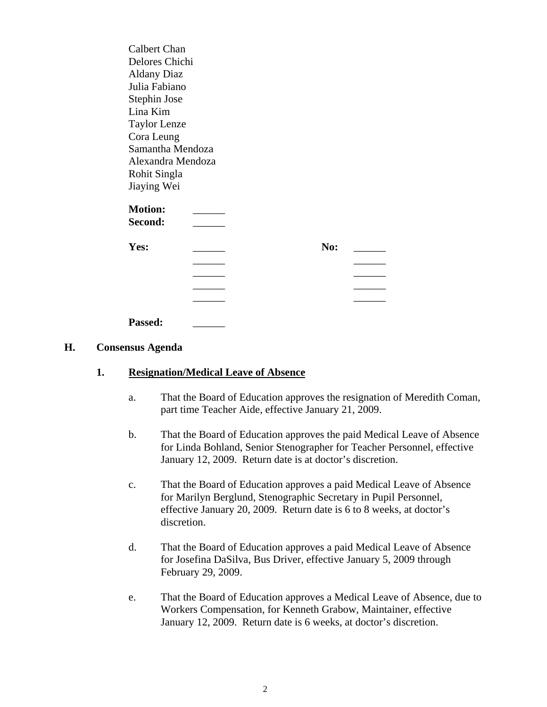| <b>Calbert Chan</b> |  |     |  |
|---------------------|--|-----|--|
| Delores Chichi      |  |     |  |
| <b>Aldany Diaz</b>  |  |     |  |
| Julia Fabiano       |  |     |  |
| Stephin Jose        |  |     |  |
| Lina Kim            |  |     |  |
| <b>Taylor Lenze</b> |  |     |  |
| Cora Leung          |  |     |  |
| Samantha Mendoza    |  |     |  |
| Alexandra Mendoza   |  |     |  |
| Rohit Singla        |  |     |  |
| Jiaying Wei         |  |     |  |
| <b>Motion:</b>      |  |     |  |
| Second:             |  |     |  |
| Yes:                |  | No: |  |
|                     |  |     |  |
|                     |  |     |  |
|                     |  |     |  |
|                     |  |     |  |
|                     |  |     |  |
| <b>Passed:</b>      |  |     |  |

#### **H. Consensus Agenda**

#### **1. Resignation/Medical Leave of Absence**

- a. That the Board of Education approves the resignation of Meredith Coman, part time Teacher Aide, effective January 21, 2009.
- b. That the Board of Education approves the paid Medical Leave of Absence for Linda Bohland, Senior Stenographer for Teacher Personnel, effective January 12, 2009. Return date is at doctor's discretion.
- c. That the Board of Education approves a paid Medical Leave of Absence for Marilyn Berglund, Stenographic Secretary in Pupil Personnel, effective January 20, 2009. Return date is 6 to 8 weeks, at doctor's discretion.
- d. That the Board of Education approves a paid Medical Leave of Absence for Josefina DaSilva, Bus Driver, effective January 5, 2009 through February 29, 2009.
- e. That the Board of Education approves a Medical Leave of Absence, due to Workers Compensation, for Kenneth Grabow, Maintainer, effective January 12, 2009. Return date is 6 weeks, at doctor's discretion.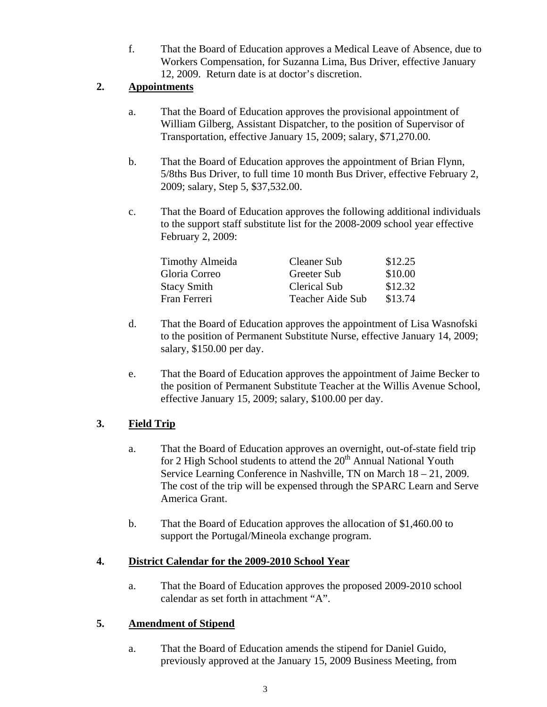f. That the Board of Education approves a Medical Leave of Absence, due to Workers Compensation, for Suzanna Lima, Bus Driver, effective January 12, 2009. Return date is at doctor's discretion.

### **2. Appointments**

- a. That the Board of Education approves the provisional appointment of William Gilberg, Assistant Dispatcher, to the position of Supervisor of Transportation, effective January 15, 2009; salary, \$71,270.00.
- b. That the Board of Education approves the appointment of Brian Flynn, 5/8ths Bus Driver, to full time 10 month Bus Driver, effective February 2, 2009; salary, Step 5, \$37,532.00.
- c. That the Board of Education approves the following additional individuals to the support staff substitute list for the 2008-2009 school year effective February 2, 2009:

| Timothy Almeida | <b>Cleaner Sub</b>  | \$12.25 |
|-----------------|---------------------|---------|
| Gloria Correo   | Greeter Sub         | \$10.00 |
| Stacy Smith     | <b>Clerical Sub</b> | \$12.32 |
| Fran Ferreri    | Teacher Aide Sub    | \$13.74 |

- d. That the Board of Education approves the appointment of Lisa Wasnofski to the position of Permanent Substitute Nurse, effective January 14, 2009; salary, \$150.00 per day.
- e. That the Board of Education approves the appointment of Jaime Becker to the position of Permanent Substitute Teacher at the Willis Avenue School, effective January 15, 2009; salary, \$100.00 per day.

## **3. Field Trip**

- a. That the Board of Education approves an overnight, out-of-state field trip for 2 High School students to attend the  $20<sup>th</sup>$  Annual National Youth Service Learning Conference in Nashville, TN on March 18 – 21, 2009. The cost of the trip will be expensed through the SPARC Learn and Serve America Grant.
- b. That the Board of Education approves the allocation of \$1,460.00 to support the Portugal/Mineola exchange program.

### **4. District Calendar for the 2009-2010 School Year**

a. That the Board of Education approves the proposed 2009-2010 school calendar as set forth in attachment "A".

## **5. Amendment of Stipend**

a. That the Board of Education amends the stipend for Daniel Guido, previously approved at the January 15, 2009 Business Meeting, from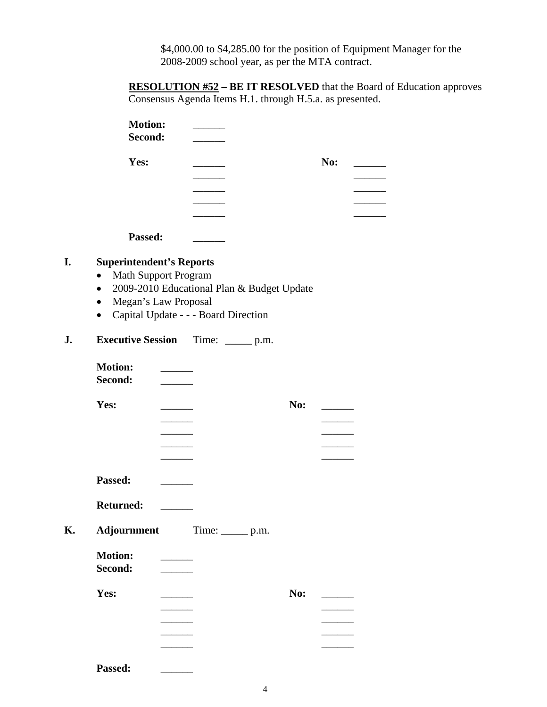\$4,000.00 to \$4,285.00 for the position of Equipment Manager for the 2008-2009 school year, as per the MTA contract.

**RESOLUTION #52 – BE IT RESOLVED** that the Board of Education approves Consensus Agenda Items H.1. through H.5.a. as presented.

| <b>Motion:</b><br>Second:                                                                                                     |                                                                                                                                                                                                                                      |                                      |                                            |     |                          |  |
|-------------------------------------------------------------------------------------------------------------------------------|--------------------------------------------------------------------------------------------------------------------------------------------------------------------------------------------------------------------------------------|--------------------------------------|--------------------------------------------|-----|--------------------------|--|
| Yes:                                                                                                                          |                                                                                                                                                                                                                                      |                                      |                                            |     | No:                      |  |
| Passed:                                                                                                                       |                                                                                                                                                                                                                                      |                                      |                                            |     |                          |  |
| <b>Superintendent's Reports</b><br><b>Math Support Program</b><br>$\bullet$<br>$\bullet$<br>Megan's Law Proposal<br>$\bullet$ |                                                                                                                                                                                                                                      | Capital Update - - - Board Direction | 2009-2010 Educational Plan & Budget Update |     |                          |  |
| <b>Executive Session</b>                                                                                                      |                                                                                                                                                                                                                                      | Time: $\_\_\_\_p$ p.m.               |                                            |     |                          |  |
| <b>Motion:</b><br>Second:                                                                                                     | <u> The Common State State State State State State State State State State State State State State State State State State State State State State State State State State State State State State State State State State State</u> |                                      |                                            |     |                          |  |
| Yes:                                                                                                                          | $\overline{\phantom{a}}$                                                                                                                                                                                                             |                                      |                                            | No: | $\overline{\phantom{a}}$ |  |
| Passed:                                                                                                                       |                                                                                                                                                                                                                                      |                                      |                                            |     |                          |  |
| <b>Returned:</b><br>Adjournment                                                                                               |                                                                                                                                                                                                                                      | $Time:$ $p.m.$                       |                                            |     |                          |  |
| <b>Motion:</b><br>Second:                                                                                                     |                                                                                                                                                                                                                                      |                                      |                                            |     |                          |  |
| Yes:                                                                                                                          |                                                                                                                                                                                                                                      |                                      |                                            | No: |                          |  |
| <b>Passed:</b>                                                                                                                |                                                                                                                                                                                                                                      |                                      |                                            |     |                          |  |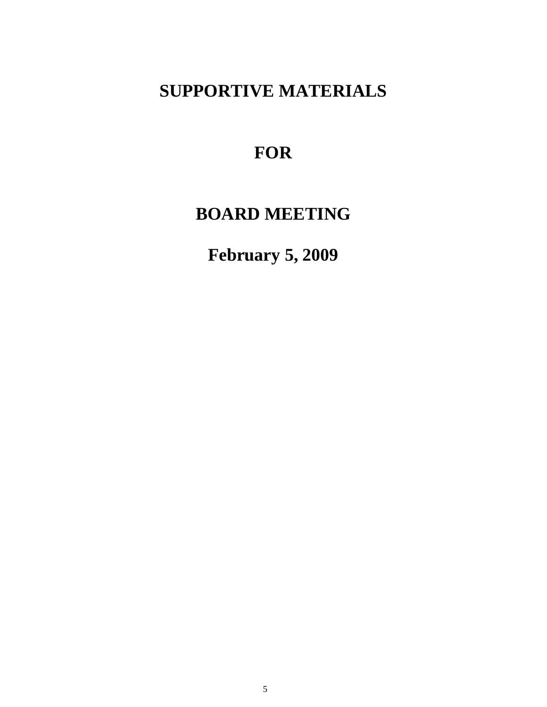# **SUPPORTIVE MATERIALS**

# **FOR**

# **BOARD MEETING**

**February 5, 2009**